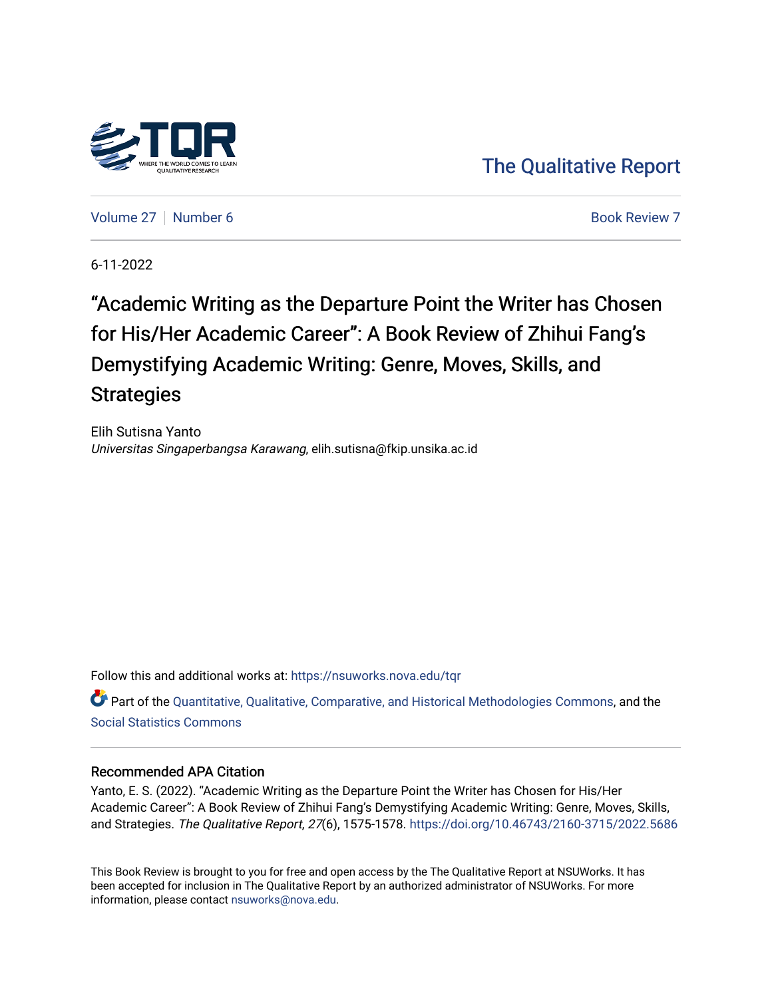

[The Qualitative Report](https://nsuworks.nova.edu/tqr) 

[Volume 27](https://nsuworks.nova.edu/tqr/vol27) [Number 6](https://nsuworks.nova.edu/tqr/vol27/iss6) **Book Review 7** Book Review 7

6-11-2022

"Academic Writing as the Departure Point the Writer has Chosen for His/Her Academic Career": A Book Review of Zhihui Fang's Demystifying Academic Writing: Genre, Moves, Skills, and **Strategies** 

Elih Sutisna Yanto Universitas Singaperbangsa Karawang, elih.sutisna@fkip.unsika.ac.id

Follow this and additional works at: [https://nsuworks.nova.edu/tqr](https://nsuworks.nova.edu/tqr?utm_source=nsuworks.nova.edu%2Ftqr%2Fvol27%2Fiss6%2F7&utm_medium=PDF&utm_campaign=PDFCoverPages) 

Part of the [Quantitative, Qualitative, Comparative, and Historical Methodologies Commons,](https://network.bepress.com/hgg/discipline/423?utm_source=nsuworks.nova.edu%2Ftqr%2Fvol27%2Fiss6%2F7&utm_medium=PDF&utm_campaign=PDFCoverPages) and the [Social Statistics Commons](https://network.bepress.com/hgg/discipline/1275?utm_source=nsuworks.nova.edu%2Ftqr%2Fvol27%2Fiss6%2F7&utm_medium=PDF&utm_campaign=PDFCoverPages) 

#### Recommended APA Citation

Yanto, E. S. (2022). "Academic Writing as the Departure Point the Writer has Chosen for His/Her Academic Career": A Book Review of Zhihui Fang's Demystifying Academic Writing: Genre, Moves, Skills, and Strategies. The Qualitative Report, 27(6), 1575-1578. <https://doi.org/10.46743/2160-3715/2022.5686>

This Book Review is brought to you for free and open access by the The Qualitative Report at NSUWorks. It has been accepted for inclusion in The Qualitative Report by an authorized administrator of NSUWorks. For more information, please contact [nsuworks@nova.edu.](mailto:nsuworks@nova.edu)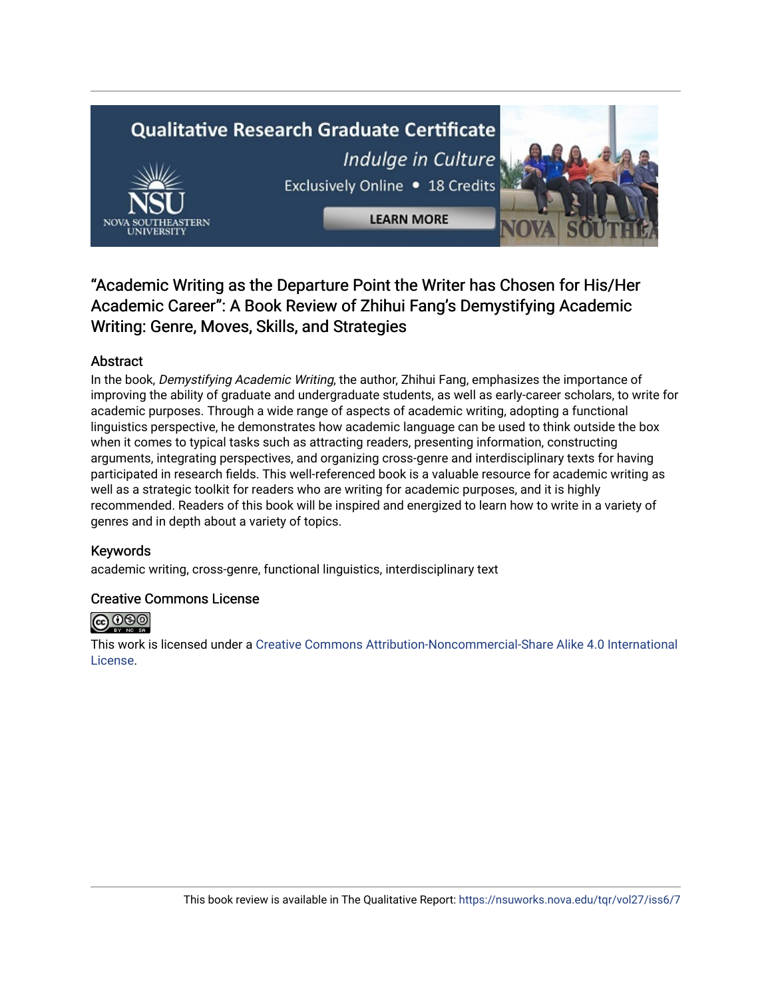# **Qualitative Research Graduate Certificate**



Indulge in Culture Exclusively Online . 18 Credits

**LEARN MORE** 



# "Academic Writing as the Departure Point the Writer has Chosen for His/Her Academic Career": A Book Review of Zhihui Fang's Demystifying Academic Writing: Genre, Moves, Skills, and Strategies

## Abstract

In the book, Demystifying Academic Writing, the author, Zhihui Fang, emphasizes the importance of improving the ability of graduate and undergraduate students, as well as early-career scholars, to write for academic purposes. Through a wide range of aspects of academic writing, adopting a functional linguistics perspective, he demonstrates how academic language can be used to think outside the box when it comes to typical tasks such as attracting readers, presenting information, constructing arguments, integrating perspectives, and organizing cross-genre and interdisciplinary texts for having participated in research fields. This well-referenced book is a valuable resource for academic writing as well as a strategic toolkit for readers who are writing for academic purposes, and it is highly recommended. Readers of this book will be inspired and energized to learn how to write in a variety of genres and in depth about a variety of topics.

## Keywords

academic writing, cross-genre, functional linguistics, interdisciplinary text

## Creative Commons License



This work is licensed under a [Creative Commons Attribution-Noncommercial-Share Alike 4.0 International](https://creativecommons.org/licenses/by-nc-sa/4.0/)  [License](https://creativecommons.org/licenses/by-nc-sa/4.0/).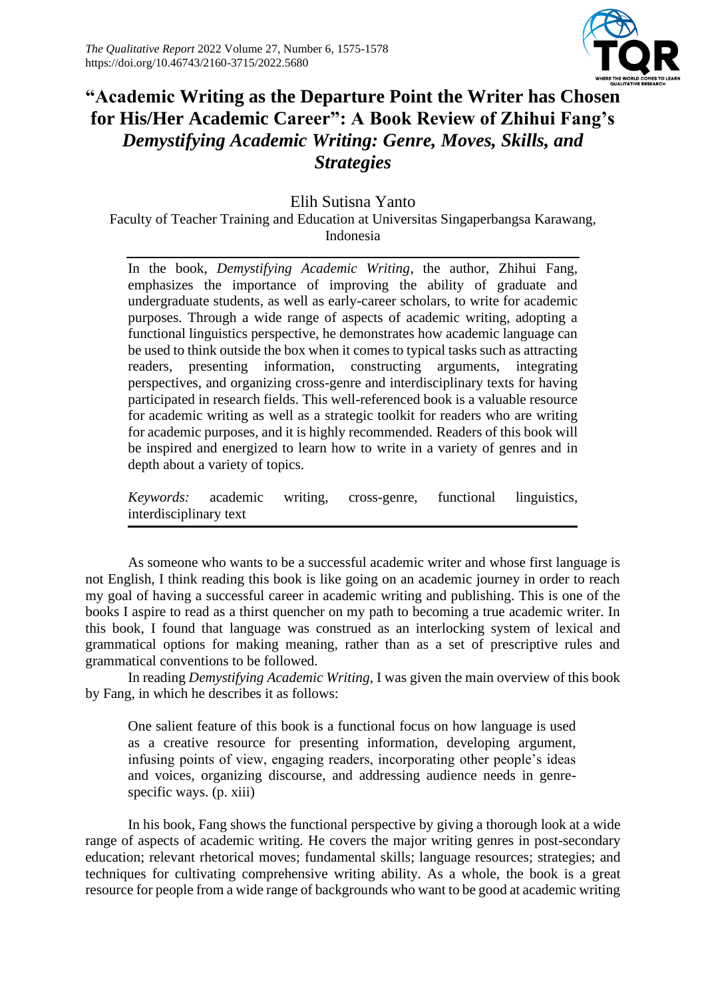

# **"Academic Writing as the Departure Point the Writer has Chosen for His/Her Academic Career": A Book Review of Zhihui Fang's**  *Demystifying Academic Writing: Genre, Moves, Skills, and Strategies*

Elih Sutisna Yanto

Faculty of Teacher Training and Education at Universitas Singaperbangsa Karawang, Indonesia

In the book, *Demystifying Academic Writing*, the author, Zhihui Fang, emphasizes the importance of improving the ability of graduate and undergraduate students, as well as early-career scholars, to write for academic purposes. Through a wide range of aspects of academic writing, adopting a functional linguistics perspective, he demonstrates how academic language can be used to think outside the box when it comes to typical tasks such as attracting readers, presenting information, constructing arguments, integrating perspectives, and organizing cross-genre and interdisciplinary texts for having participated in research fields. This well-referenced book is a valuable resource for academic writing as well as a strategic toolkit for readers who are writing for academic purposes, and it is highly recommended. Readers of this book will be inspired and energized to learn how to write in a variety of genres and in depth about a variety of topics.

*Keywords:* academic writing, cross-genre, functional linguistics, interdisciplinary text

As someone who wants to be a successful academic writer and whose first language is not English, I think reading this book is like going on an academic journey in order to reach my goal of having a successful career in academic writing and publishing. This is one of the books I aspire to read as a thirst quencher on my path to becoming a true academic writer. In this book, I found that language was construed as an interlocking system of lexical and grammatical options for making meaning, rather than as a set of prescriptive rules and grammatical conventions to be followed.

In reading *Demystifying Academic Writing*, I was given the main overview of this book by Fang, in which he describes it as follows:

One salient feature of this book is a functional focus on how language is used as a creative resource for presenting information, developing argument, infusing points of view, engaging readers, incorporating other people's ideas and voices, organizing discourse, and addressing audience needs in genrespecific ways. (p. xiii)

In his book, Fang shows the functional perspective by giving a thorough look at a wide range of aspects of academic writing. He covers the major writing genres in post-secondary education; relevant rhetorical moves; fundamental skills; language resources; strategies; and techniques for cultivating comprehensive writing ability. As a whole, the book is a great resource for people from a wide range of backgrounds who want to be good at academic writing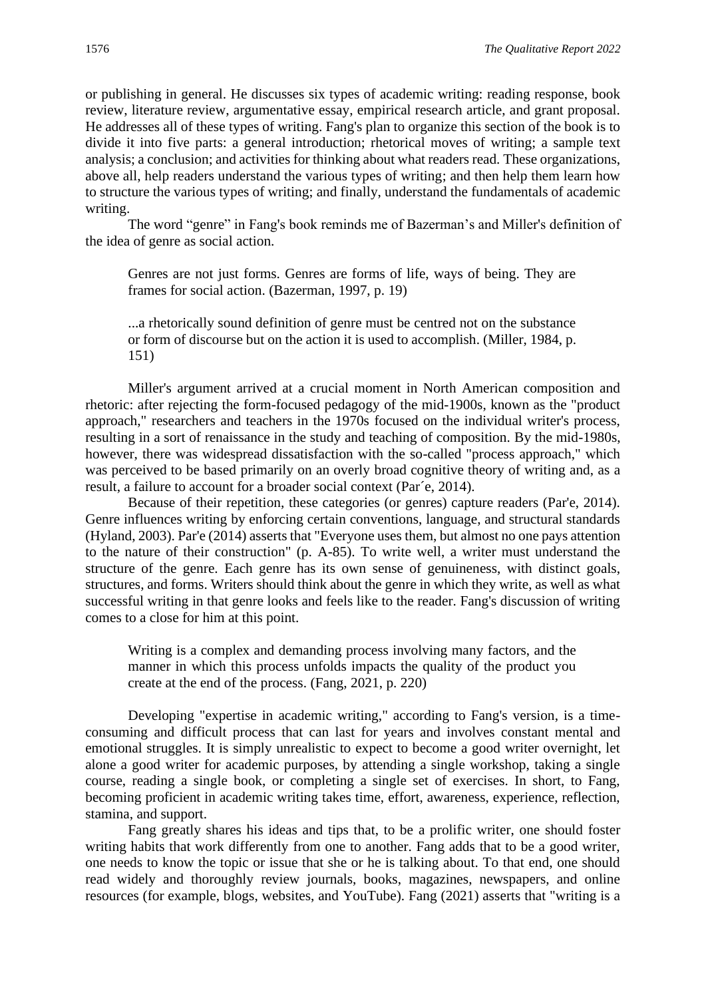or publishing in general. He discusses six types of academic writing: reading response, book review, literature review, argumentative essay, empirical research article, and grant proposal. He addresses all of these types of writing. Fang's plan to organize this section of the book is to divide it into five parts: a general introduction; rhetorical moves of writing; a sample text analysis; a conclusion; and activities for thinking about what readers read. These organizations, above all, help readers understand the various types of writing; and then help them learn how to structure the various types of writing; and finally, understand the fundamentals of academic writing.

The word "genre" in Fang's book reminds me of Bazerman's and Miller's definition of the idea of genre as social action.

Genres are not just forms. Genres are forms of life, ways of being. They are frames for social action. (Bazerman, 1997, p. 19)

...a rhetorically sound definition of genre must be centred not on the substance or form of discourse but on the action it is used to accomplish. (Miller, 1984, p. 151)

Miller's argument arrived at a crucial moment in North American composition and rhetoric: after rejecting the form-focused pedagogy of the mid-1900s, known as the "product approach," researchers and teachers in the 1970s focused on the individual writer's process, resulting in a sort of renaissance in the study and teaching of composition. By the mid-1980s, however, there was widespread dissatisfaction with the so-called "process approach," which was perceived to be based primarily on an overly broad cognitive theory of writing and, as a result, a failure to account for a broader social context (Par´e, 2014).

Because of their repetition, these categories (or genres) capture readers (Par'e, 2014). Genre influences writing by enforcing certain conventions, language, and structural standards (Hyland, 2003). Par'e (2014) asserts that "Everyone uses them, but almost no one pays attention to the nature of their construction" (p. A-85). To write well, a writer must understand the structure of the genre. Each genre has its own sense of genuineness, with distinct goals, structures, and forms. Writers should think about the genre in which they write, as well as what successful writing in that genre looks and feels like to the reader. Fang's discussion of writing comes to a close for him at this point.

Writing is a complex and demanding process involving many factors, and the manner in which this process unfolds impacts the quality of the product you create at the end of the process. (Fang, 2021, p. 220)

Developing "expertise in academic writing," according to Fang's version, is a timeconsuming and difficult process that can last for years and involves constant mental and emotional struggles. It is simply unrealistic to expect to become a good writer overnight, let alone a good writer for academic purposes, by attending a single workshop, taking a single course, reading a single book, or completing a single set of exercises. In short, to Fang, becoming proficient in academic writing takes time, effort, awareness, experience, reflection, stamina, and support.

Fang greatly shares his ideas and tips that, to be a prolific writer, one should foster writing habits that work differently from one to another. Fang adds that to be a good writer, one needs to know the topic or issue that she or he is talking about. To that end, one should read widely and thoroughly review journals, books, magazines, newspapers, and online resources (for example, blogs, websites, and YouTube). Fang (2021) asserts that "writing is a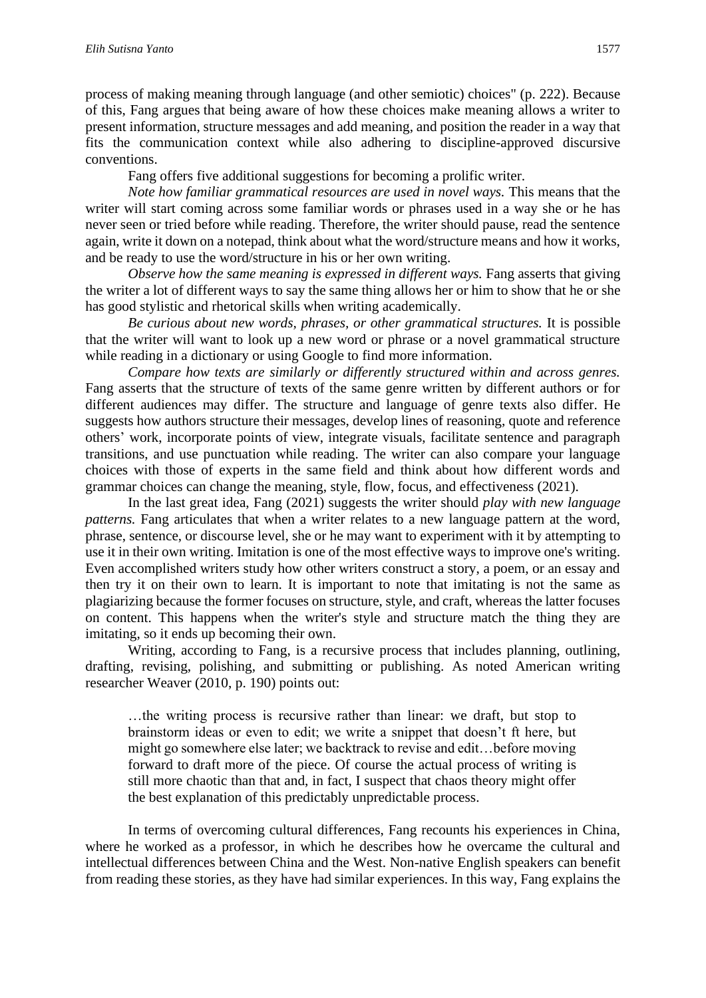process of making meaning through language (and other semiotic) choices" (p. 222). Because of this, Fang argues that being aware of how these choices make meaning allows a writer to present information, structure messages and add meaning, and position the reader in a way that fits the communication context while also adhering to discipline-approved discursive conventions.

Fang offers five additional suggestions for becoming a prolific writer.

*Note how familiar grammatical resources are used in novel ways.* This means that the writer will start coming across some familiar words or phrases used in a way she or he has never seen or tried before while reading. Therefore, the writer should pause, read the sentence again, write it down on a notepad, think about what the word/structure means and how it works, and be ready to use the word/structure in his or her own writing.

*Observe how the same meaning is expressed in different ways.* Fang asserts that giving the writer a lot of different ways to say the same thing allows her or him to show that he or she has good stylistic and rhetorical skills when writing academically.

*Be curious about new words, phrases, or other grammatical structures.* It is possible that the writer will want to look up a new word or phrase or a novel grammatical structure while reading in a dictionary or using Google to find more information.

*Compare how texts are similarly or differently structured within and across genres.* Fang asserts that the structure of texts of the same genre written by different authors or for different audiences may differ. The structure and language of genre texts also differ. He suggests how authors structure their messages, develop lines of reasoning, quote and reference others' work, incorporate points of view, integrate visuals, facilitate sentence and paragraph transitions, and use punctuation while reading. The writer can also compare your language choices with those of experts in the same field and think about how different words and grammar choices can change the meaning, style, flow, focus, and effectiveness (2021).

In the last great idea, Fang (2021) suggests the writer should *play with new language patterns.* Fang articulates that when a writer relates to a new language pattern at the word, phrase, sentence, or discourse level, she or he may want to experiment with it by attempting to use it in their own writing. Imitation is one of the most effective ways to improve one's writing. Even accomplished writers study how other writers construct a story, a poem, or an essay and then try it on their own to learn. It is important to note that imitating is not the same as plagiarizing because the former focuses on structure, style, and craft, whereas the latter focuses on content. This happens when the writer's style and structure match the thing they are imitating, so it ends up becoming their own.

Writing, according to Fang, is a recursive process that includes planning, outlining, drafting, revising, polishing, and submitting or publishing. As noted American writing researcher Weaver (2010, p. 190) points out:

…the writing process is recursive rather than linear: we draft, but stop to brainstorm ideas or even to edit; we write a snippet that doesn't ft here, but might go somewhere else later; we backtrack to revise and edit…before moving forward to draft more of the piece. Of course the actual process of writing is still more chaotic than that and, in fact, I suspect that chaos theory might offer the best explanation of this predictably unpredictable process.

In terms of overcoming cultural differences, Fang recounts his experiences in China, where he worked as a professor, in which he describes how he overcame the cultural and intellectual differences between China and the West. Non-native English speakers can benefit from reading these stories, as they have had similar experiences. In this way, Fang explains the